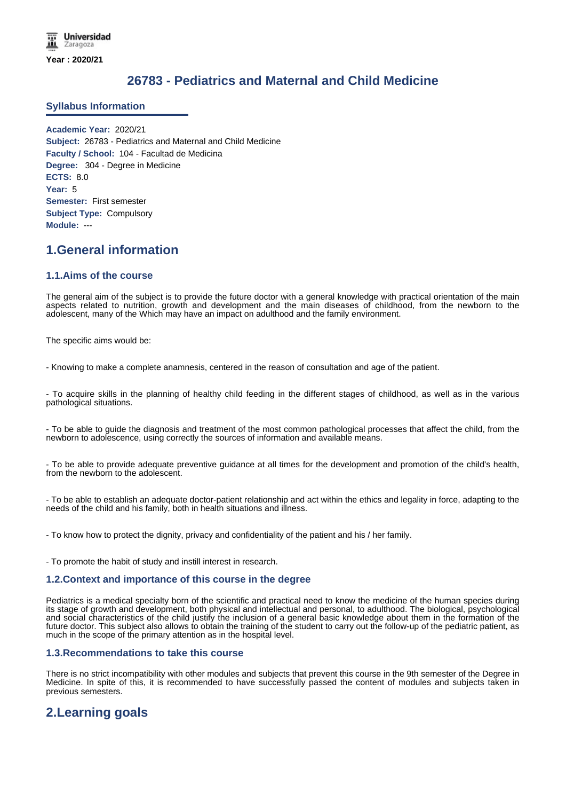# **26783 - Pediatrics and Maternal and Child Medicine**

### **Syllabus Information**

**Academic Year:** 2020/21 **Subject:** 26783 - Pediatrics and Maternal and Child Medicine **Faculty / School:** 104 - Facultad de Medicina **Degree:** 304 - Degree in Medicine **ECTS:** 8.0 **Year:** 5 **Semester:** First semester **Subject Type:** Compulsory **Module:** ---

## **1.General information**

### **1.1.Aims of the course**

The general aim of the subject is to provide the future doctor with a general knowledge with practical orientation of the main aspects related to nutrition, growth and development and the main diseases of childhood, from the newborn to the adolescent, many of the Which may have an impact on adulthood and the family environment.

The specific aims would be:

- Knowing to make a complete anamnesis, centered in the reason of consultation and age of the patient.

- To acquire skills in the planning of healthy child feeding in the different stages of childhood, as well as in the various pathological situations.

- To be able to guide the diagnosis and treatment of the most common pathological processes that affect the child, from the newborn to adolescence, using correctly the sources of information and available means.

- To be able to provide adequate preventive guidance at all times for the development and promotion of the child's health, from the newborn to the adolescent.

- To be able to establish an adequate doctor-patient relationship and act within the ethics and legality in force, adapting to the needs of the child and his family, both in health situations and illness.

- To know how to protect the dignity, privacy and confidentiality of the patient and his / her family.

- To promote the habit of study and instill interest in research.

### **1.2.Context and importance of this course in the degree**

Pediatrics is a medical specialty born of the scientific and practical need to know the medicine of the human species during its stage of growth and development, both physical and intellectual and personal, to adulthood. The biological, psychological and social characteristics of the child justify the inclusion of a general basic knowledge about them in the formation of the future doctor. This subject also allows to obtain the training of the student to carry out the follow-up of the pediatric patient, as much in the scope of the primary attention as in the hospital level.

### **1.3.Recommendations to take this course**

There is no strict incompatibility with other modules and subjects that prevent this course in the 9th semester of the Degree in Medicine. In spite of this, it is recommended to have successfully passed the content of modules and subjects taken in previous semesters.

# **2.Learning goals**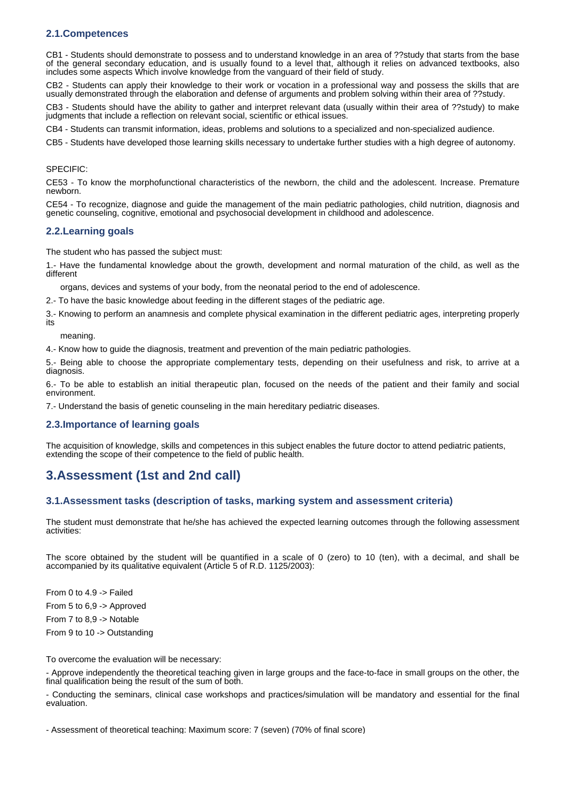## **2.1.Competences**

CB1 - Students should demonstrate to possess and to understand knowledge in an area of ??study that starts from the base of the general secondary education, and is usually found to a level that, although it relies on advanced textbooks, also includes some aspects Which involve knowledge from the vanguard of their field of study.

CB2 - Students can apply their knowledge to their work or vocation in a professional way and possess the skills that are usually demonstrated through the elaboration and defense of arguments and problem solving within their area of ??study.

CB3 - Students should have the ability to gather and interpret relevant data (usually within their area of ??study) to make judgments that include a reflection on relevant social, scientific or ethical issues.

CB4 - Students can transmit information, ideas, problems and solutions to a specialized and non-specialized audience.

CB5 - Students have developed those learning skills necessary to undertake further studies with a high degree of autonomy.

#### SPECIFIC:

CE53 - To know the morphofunctional characteristics of the newborn, the child and the adolescent. Increase. Premature newborn.

CE54 - To recognize, diagnose and guide the management of the main pediatric pathologies, child nutrition, diagnosis and genetic counseling, cognitive, emotional and psychosocial development in childhood and adolescence.

#### **2.2.Learning goals**

The student who has passed the subject must:

1.- Have the fundamental knowledge about the growth, development and normal maturation of the child, as well as the different

organs, devices and systems of your body, from the neonatal period to the end of adolescence.

2.- To have the basic knowledge about feeding in the different stages of the pediatric age.

3.- Knowing to perform an anamnesis and complete physical examination in the different pediatric ages, interpreting properly its

meaning.

4.- Know how to guide the diagnosis, treatment and prevention of the main pediatric pathologies.

5.- Being able to choose the appropriate complementary tests, depending on their usefulness and risk, to arrive at a diagnosis.

6.- To be able to establish an initial therapeutic plan, focused on the needs of the patient and their family and social environment.

7.- Understand the basis of genetic counseling in the main hereditary pediatric diseases.

### **2.3.Importance of learning goals**

The acquisition of knowledge, skills and competences in this subject enables the future doctor to attend pediatric patients, extending the scope of their competence to the field of public health.

## **3.Assessment (1st and 2nd call)**

### **3.1.Assessment tasks (description of tasks, marking system and assessment criteria)**

The student must demonstrate that he/she has achieved the expected learning outcomes through the following assessment activities:

The score obtained by the student will be quantified in a scale of 0 (zero) to 10 (ten), with a decimal, and shall be accompanied by its qualitative equivalent (Article 5 of R.D. 1125/2003):

From 0 to 4.9 -> Failed From 5 to 6,9 -> Approved

From 7 to 8,9 -> Notable

From 9 to 10 -> Outstanding

To overcome the evaluation will be necessary:

- Approve independently the theoretical teaching given in large groups and the face-to-face in small groups on the other, the final qualification being the result of the sum of both.

- Conducting the seminars, clinical case workshops and practices/simulation will be mandatory and essential for the final evaluation.

- Assessment of theoretical teaching: Maximum score: 7 (seven) (70% of final score)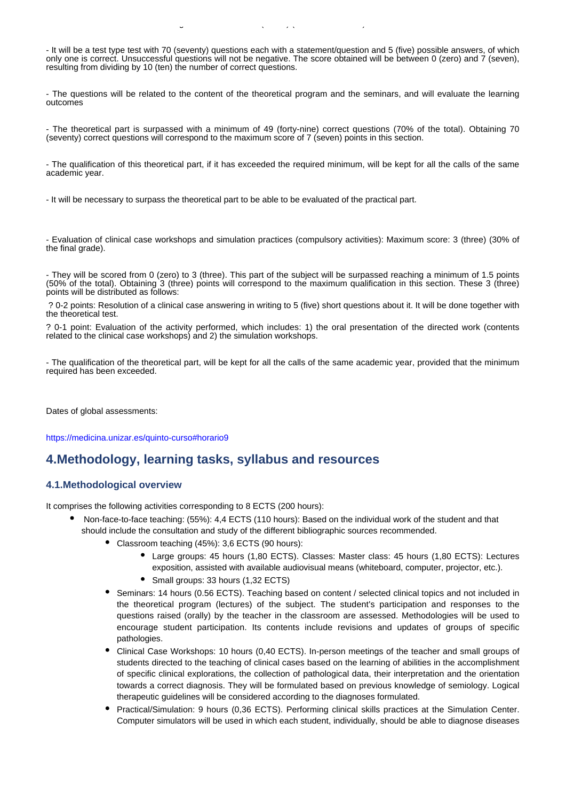$\sim$  Maximum score teaching:  $\sim$  (see equation) (70% of final score) (70% of final score) (70% of final score) (70% of final score) (70% of final score) (70% of final score) (70% of final score) (70% of final score) (70%

- It will be a test type test with 70 (seventy) questions each with a statement/question and 5 (five) possible answers, of which only one is correct. Unsuccessful questions will not be negative. The score obtained will be between 0 (zero) and 7 (seven), resulting from dividing by 10 (ten) the number of correct questions.

- The questions will be related to the content of the theoretical program and the seminars, and will evaluate the learning outcomes

- The theoretical part is surpassed with a minimum of 49 (forty-nine) correct questions (70% of the total). Obtaining 70 (seventy) correct questions will correspond to the maximum score of 7 (seven) points in this section.

- The qualification of this theoretical part, if it has exceeded the required minimum, will be kept for all the calls of the same academic year.

- It will be necessary to surpass the theoretical part to be able to be evaluated of the practical part.

- Evaluation of clinical case workshops and simulation practices (compulsory activities): Maximum score: 3 (three) (30% of the final grade).

- They will be scored from 0 (zero) to 3 (three). This part of the subject will be surpassed reaching a minimum of 1.5 points (50% of the total). Obtaining 3 (three) points will correspond to the maximum qualification in this section. These 3 (three) points will be distributed as follows:

 ? 0-2 points: Resolution of a clinical case answering in writing to 5 (five) short questions about it. It will be done together with the theoretical test.

? 0-1 point: Evaluation of the activity performed, which includes: 1) the oral presentation of the directed work (contents related to the clinical case workshops) and 2) the simulation workshops.

- The qualification of the theoretical part, will be kept for all the calls of the same academic year, provided that the minimum required has been exceeded.

Dates of global assessments:

https://medicina.unizar.es/quinto-curso#horario9

## **4.Methodology, learning tasks, syllabus and resources**

### **4.1.Methodological overview**

It comprises the following activities corresponding to 8 ECTS (200 hours):

- Non-face-to-face teaching: (55%): 4,4 ECTS (110 hours): Based on the individual work of the student and that should include the consultation and study of the different bibliographic sources recommended.
	- Classroom teaching (45%): 3,6 ECTS (90 hours):
		- Large groups: 45 hours (1,80 ECTS). Classes: Master class: 45 hours (1,80 ECTS): Lectures exposition, assisted with available audiovisual means (whiteboard, computer, projector, etc.).
		- Small groups: 33 hours (1,32 ECTS)
	- Seminars: 14 hours (0.56 ECTS). Teaching based on content / selected clinical topics and not included in the theoretical program (lectures) of the subject. The student's participation and responses to the questions raised (orally) by the teacher in the classroom are assessed. Methodologies will be used to encourage student participation. Its contents include revisions and updates of groups of specific pathologies.
	- Clinical Case Workshops: 10 hours (0,40 ECTS). In-person meetings of the teacher and small groups of students directed to the teaching of clinical cases based on the learning of abilities in the accomplishment of specific clinical explorations, the collection of pathological data, their interpretation and the orientation towards a correct diagnosis. They will be formulated based on previous knowledge of semiology. Logical therapeutic guidelines will be considered according to the diagnoses formulated.
	- Practical/Simulation: 9 hours (0,36 ECTS). Performing clinical skills practices at the Simulation Center. Computer simulators will be used in which each student, individually, should be able to diagnose diseases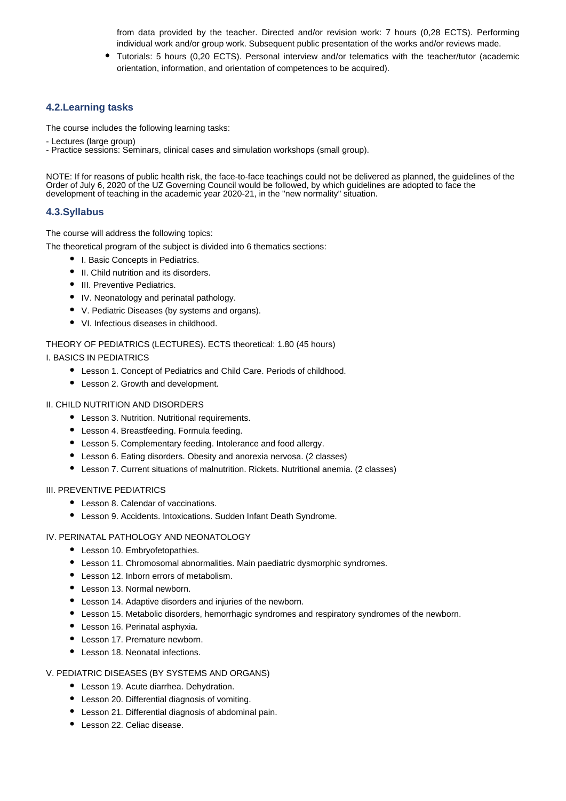from data provided by the teacher. Directed and/or revision work: 7 hours (0,28 ECTS). Performing individual work and/or group work. Subsequent public presentation of the works and/or reviews made.

Tutorials: 5 hours (0,20 ECTS). Personal interview and/or telematics with the teacher/tutor (academic orientation, information, and orientation of competences to be acquired).

## **4.2.Learning tasks**

The course includes the following learning tasks:

- Lectures (large group)

- Practice sessions: Seminars, clinical cases and simulation workshops (small group).

NOTE: If for reasons of public health risk, the face-to-face teachings could not be delivered as planned, the guidelines of the Order of July 6, 2020 of the UZ Governing Council would be followed, by which guidelines are adopted to face the development of teaching in the academic year 2020-21, in the "new normality" situation.

## **4.3.Syllabus**

The course will address the following topics:

The theoretical program of the subject is divided into 6 thematics sections:

- I. Basic Concepts in Pediatrics.
- II. Child nutrition and its disorders.
- III. Preventive Pediatrics.
- IV. Neonatology and perinatal pathology.
- V. Pediatric Diseases (by systems and organs).
- VI. Infectious diseases in childhood.

#### THEORY OF PEDIATRICS (LECTURES). ECTS theoretical: 1.80 (45 hours)

I. BASICS IN PEDIATRICS

- Lesson 1. Concept of Pediatrics and Child Care. Periods of childhood.
- Lesson 2. Growth and development.

#### II. CHILD NUTRITION AND DISORDERS

- Lesson 3. Nutrition. Nutritional requirements.
- Lesson 4. Breastfeeding. Formula feeding.
- Lesson 5. Complementary feeding. Intolerance and food allergy.
- Lesson 6. Eating disorders. Obesity and anorexia nervosa. (2 classes)
- Lesson 7. Current situations of malnutrition. Rickets. Nutritional anemia. (2 classes)

#### III. PREVENTIVE PEDIATRICS

- Lesson 8. Calendar of vaccinations.
- Lesson 9. Accidents. Intoxications. Sudden Infant Death Syndrome.

### IV. PERINATAL PATHOLOGY AND NEONATOLOGY

- Lesson 10. Embryofetopathies.
- Lesson 11. Chromosomal abnormalities. Main paediatric dysmorphic syndromes.
- Lesson 12. Inborn errors of metabolism.
- Lesson 13. Normal newborn.
- Lesson 14. Adaptive disorders and injuries of the newborn.
- Lesson 15. Metabolic disorders, hemorrhagic syndromes and respiratory syndromes of the newborn.
- Lesson 16. Perinatal asphyxia.
- Lesson 17. Premature newborn.
- Lesson 18. Neonatal infections.

#### V. PEDIATRIC DISEASES (BY SYSTEMS AND ORGANS)

- Lesson 19. Acute diarrhea. Dehydration.
- Lesson 20. Differential diagnosis of vomiting.
- Lesson 21. Differential diagnosis of abdominal pain.
- Lesson 22. Celiac disease.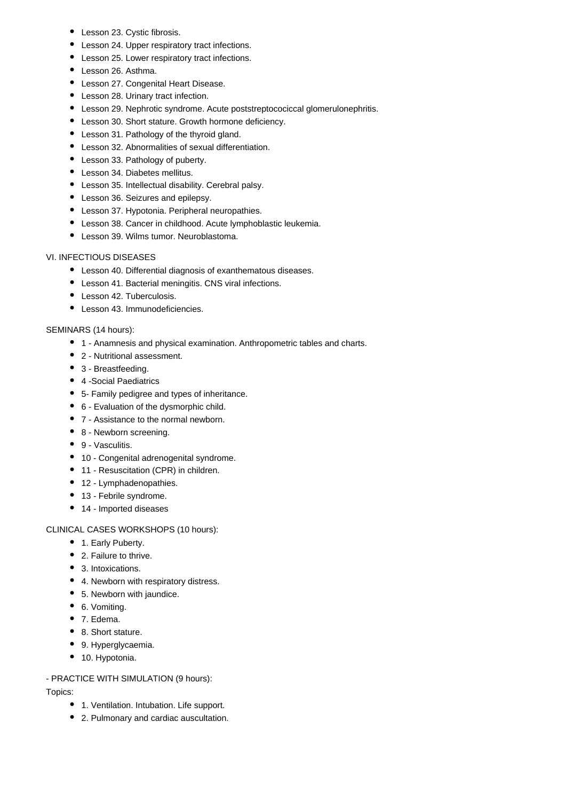- Lesson 23. Cystic fibrosis.
- Lesson 24. Upper respiratory tract infections.
- Lesson 25. Lower respiratory tract infections.
- Lesson 26, Asthma.
- Lesson 27. Congenital Heart Disease.
- Lesson 28. Urinary tract infection.
- Lesson 29. Nephrotic syndrome. Acute poststreptocociccal glomerulonephritis.
- Lesson 30. Short stature. Growth hormone deficiency.
- Lesson 31. Pathology of the thyroid gland.
- Lesson 32. Abnormalities of sexual differentiation.
- Lesson 33. Pathology of puberty.
- Lesson 34. Diabetes mellitus.
- Lesson 35. Intellectual disability. Cerebral palsy.
- Lesson 36. Seizures and epilepsy.
- Lesson 37. Hypotonia. Peripheral neuropathies.
- Lesson 38. Cancer in childhood. Acute lymphoblastic leukemia.
- Lesson 39. Wilms tumor. Neuroblastoma.

## VI. INFECTIOUS DISEASES

- Lesson 40. Differential diagnosis of exanthematous diseases.
- Lesson 41. Bacterial meningitis. CNS viral infections.
- Lesson 42. Tuberculosis.
- Lesson 43. Immunodeficiencies.

## SEMINARS (14 hours):

- 1 Anamnesis and physical examination. Anthropometric tables and charts.
- 2 Nutritional assessment.
- 3 Breastfeeding.
- 4 -Social Paediatrics
- 5- Family pedigree and types of inheritance.
- 6 Evaluation of the dysmorphic child.
- 7 Assistance to the normal newborn.
- 8 Newborn screening.
- 9 Vasculitis.
- 10 Congenital adrenogenital syndrome.
- 11 Resuscitation (CPR) in children.
- 12 Lymphadenopathies.
- 13 Febrile syndrome.
- 14 Imported diseases

## CLINICAL CASES WORKSHOPS (10 hours):

- 1. Early Puberty.
- 2. Failure to thrive.
- 3. Intoxications.
- 4. Newborn with respiratory distress.
- 5. Newborn with jaundice.
- 6. Vomiting.
- 7. Edema.
- 8. Short stature.
- 9. Hyperglycaemia.
- 10. Hypotonia.

## - PRACTICE WITH SIMULATION (9 hours):

Topics:

- 1. Ventilation. Intubation. Life support.
- 2. Pulmonary and cardiac auscultation.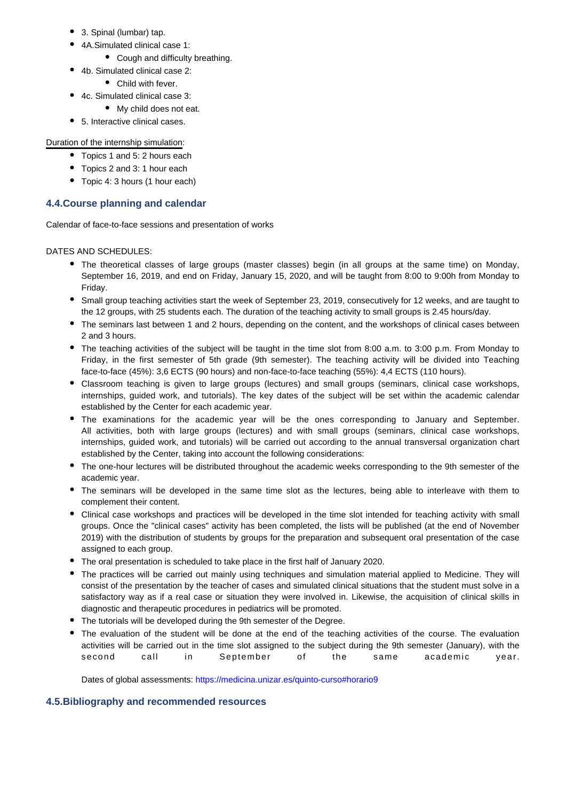- 3. Spinal (lumbar) tap.
- 4A.Simulated clinical case 1:
	- Cough and difficulty breathing.
- 4b. Simulated clinical case 2:
	- Child with fever.
- 4c. Simulated clinical case 3:
	- My child does not eat.
- 5. Interactive clinical cases.

## Duration of the internship simulation:

- Topics 1 and 5: 2 hours each
- Topics 2 and 3: 1 hour each
- Topic 4: 3 hours (1 hour each)

## **4.4.Course planning and calendar**

Calendar of face-to-face sessions and presentation of works

DATES AND SCHEDULES:

- The theoretical classes of large groups (master classes) begin (in all groups at the same time) on Monday, September 16, 2019, and end on Friday, January 15, 2020, and will be taught from 8:00 to 9:00h from Monday to Friday.
- Small group teaching activities start the week of September 23, 2019, consecutively for 12 weeks, and are taught to the 12 groups, with 25 students each. The duration of the teaching activity to small groups is 2.45 hours/day.
- The seminars last between 1 and 2 hours, depending on the content, and the workshops of clinical cases between 2 and 3 hours.
- The teaching activities of the subject will be taught in the time slot from 8:00 a.m. to 3:00 p.m. From Monday to Friday, in the first semester of 5th grade (9th semester). The teaching activity will be divided into Teaching face-to-face (45%): 3,6 ECTS (90 hours) and non-face-to-face teaching (55%): 4,4 ECTS (110 hours).
- Classroom teaching is given to large groups (lectures) and small groups (seminars, clinical case workshops, internships, guided work, and tutorials). The key dates of the subject will be set within the academic calendar established by the Center for each academic year.
- The examinations for the academic year will be the ones corresponding to January and September. All activities, both with large groups (lectures) and with small groups (seminars, clinical case workshops, internships, guided work, and tutorials) will be carried out according to the annual transversal organization chart established by the Center, taking into account the following considerations:
- The one-hour lectures will be distributed throughout the academic weeks corresponding to the 9th semester of the academic year.
- The seminars will be developed in the same time slot as the lectures, being able to interleave with them to complement their content.
- Clinical case workshops and practices will be developed in the time slot intended for teaching activity with small groups. Once the "clinical cases" activity has been completed, the lists will be published (at the end of November 2019) with the distribution of students by groups for the preparation and subsequent oral presentation of the case assigned to each group.
- The oral presentation is scheduled to take place in the first half of January 2020.
- The practices will be carried out mainly using techniques and simulation material applied to Medicine. They will consist of the presentation by the teacher of cases and simulated clinical situations that the student must solve in a satisfactory way as if a real case or situation they were involved in. Likewise, the acquisition of clinical skills in diagnostic and therapeutic procedures in pediatrics will be promoted.
- The tutorials will be developed during the 9th semester of the Degree.
- The evaluation of the student will be done at the end of the teaching activities of the course. The evaluation activities will be carried out in the time slot assigned to the subject during the 9th semester (January), with the second call in September of the same academic year.

Dates of global assessments: https://medicina.unizar.es/quinto-curso#horario9

## **4.5.Bibliography and recommended resources**